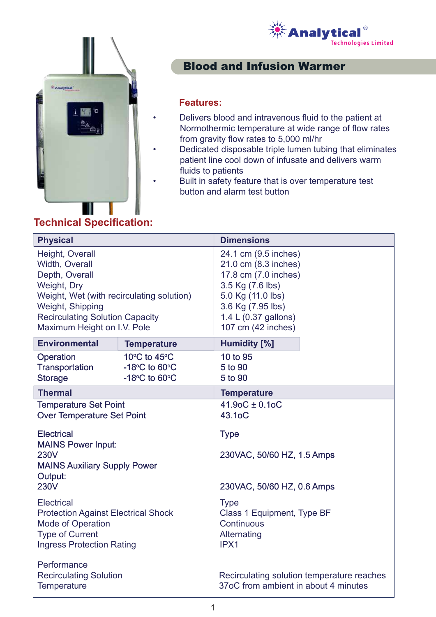



## Blood and Infusion Warmer

#### **Features:**

- Delivers blood and intravenous fluid to the patient at Normothermic temperature at wide range of flow rates from gravity flow rates to 5,000 ml/hr
- Dedicated disposable triple lumen tubing that eliminates patient line cool down of infusate and delivers warm fluids to patients
- Built in safety feature that is over temperature test button and alarm test button

# **Technical Specification:**

| <b>Physical</b>                                                                                                                                                                                              |                                                      | <b>Dimensions</b>                                                                                                                                                                |
|--------------------------------------------------------------------------------------------------------------------------------------------------------------------------------------------------------------|------------------------------------------------------|----------------------------------------------------------------------------------------------------------------------------------------------------------------------------------|
| Height, Overall<br>Width, Overall<br>Depth, Overall<br>Weight, Dry<br>Weight, Wet (with recirculating solution)<br>Weight, Shipping<br><b>Recirculating Solution Capacity</b><br>Maximum Height on I.V. Pole |                                                      | 24.1 cm (9.5 inches)<br>21.0 cm (8.3 inches)<br>17.8 cm (7.0 inches)<br>3.5 Kg (7.6 lbs)<br>5.0 Kg (11.0 lbs)<br>3.6 Kg (7.95 lbs)<br>1.4 L (0.37 gallons)<br>107 cm (42 inches) |
| <b>Environmental</b>                                                                                                                                                                                         | <b>Temperature</b>                                   | <b>Humidity [%]</b>                                                                                                                                                              |
| Operation<br>Transportation<br><b>Storage</b>                                                                                                                                                                | 10°C to 45°C<br>$-18$ °C to 60°C<br>$-18$ °C to 60°C | 10 to 95<br>5 to 90<br>5 to 90                                                                                                                                                   |
| <b>Thermal</b>                                                                                                                                                                                               |                                                      | <b>Temperature</b>                                                                                                                                                               |
| <b>Temperature Set Point</b><br><b>Over Temperature Set Point</b>                                                                                                                                            |                                                      | $41.90C \pm 0.10C$<br>43.1oC                                                                                                                                                     |
| <b>Electrical</b><br><b>MAINS Power Input:</b><br><b>230V</b><br><b>MAINS Auxiliary Supply Power</b><br>Output:                                                                                              |                                                      | <b>Type</b><br>230VAC, 50/60 HZ, 1.5 Amps                                                                                                                                        |
| <b>230V</b>                                                                                                                                                                                                  |                                                      | 230VAC, 50/60 HZ, 0.6 Amps                                                                                                                                                       |
| <b>Electrical</b><br><b>Protection Against Electrical Shock</b><br><b>Mode of Operation</b><br><b>Type of Current</b><br><b>Ingress Protection Rating</b>                                                    |                                                      | <b>Type</b><br>Class 1 Equipment, Type BF<br>Continuous<br>Alternating<br>IPX1                                                                                                   |
| Performance<br><b>Recirculating Solution</b><br>Temperature                                                                                                                                                  |                                                      | Recirculating solution temperature reaches<br>37oC from ambient in about 4 minutes                                                                                               |